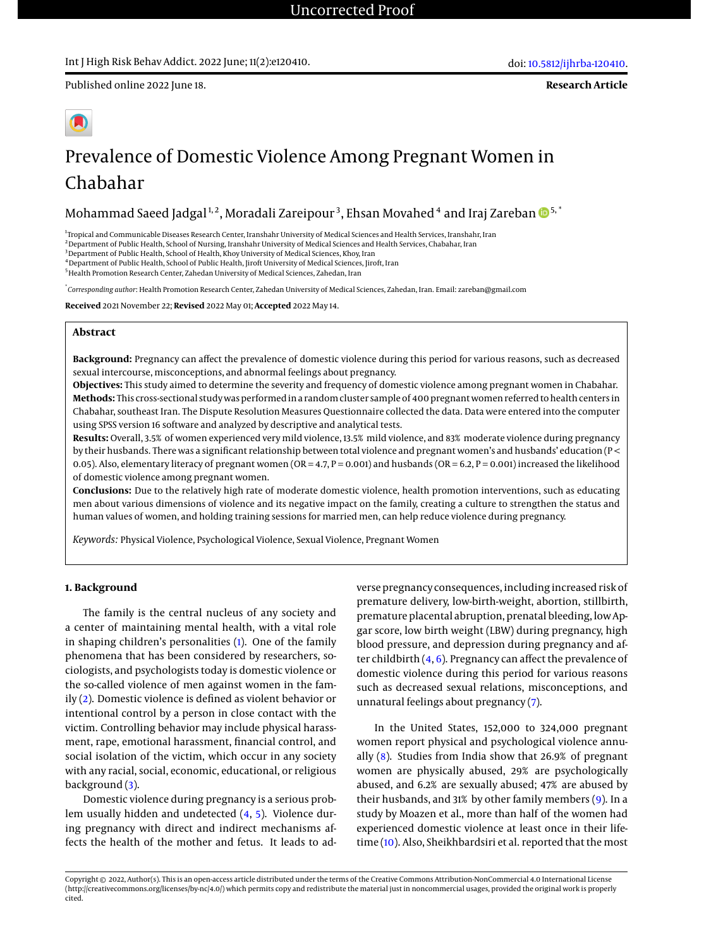Published online 2022 June 18.



# Prevalence of Domestic Violence Among Pregnant Women in Chabahar

Mohammad Saeed Jadgal $^{1,2}$ , Moradali Zareipour $^3$ , Ehsan Movahed  $^4$  and Iraj Zareban  $\mathbf{D}^{5,^*}$ 

<sup>1</sup>Tropical and Communicable Diseases Research Center, Iranshahr University of Medical Sciences and Health Services, Iranshahr, Iran

<sup>2</sup> Department of Public Health, School of Nursing, Iranshahr University of Medical Sciences and Health Services, Chabahar, Iran <sup>3</sup> Department of Public Health, School of Health, Khoy University of Medical Sciences, Khoy, Iran

 $^4$ Department of Public Health, School of Public Health, Jiroft University of Medical Sciences, Jiroft, Iran

 $^5$  Health Promotion Research Center, Zahedan University of Medical Sciences, Zahedan, Iran

\* *Corresponding author*: Health Promotion Research Center, Zahedan University of Medical Sciences, Zahedan, Iran. Email: zareban@gmail.com

**Received** 2021 November 22; **Revised** 2022 May 01; **Accepted** 2022 May 14.

# **Abstract**

**Background:** Pregnancy can affect the prevalence of domestic violence during this period for various reasons, such as decreased sexual intercourse, misconceptions, and abnormal feelings about pregnancy.

**Objectives:** This study aimed to determine the severity and frequency of domestic violence among pregnant women in Chabahar. **Methods:** This cross-sectional study was performed in a random cluster sample of 400 pregnant women referred to health centers in Chabahar, southeast Iran. The Dispute Resolution Measures Questionnaire collected the data. Data were entered into the computer using SPSS version 16 software and analyzed by descriptive and analytical tests.

**Results:** Overall, 3.5% of women experienced very mild violence, 13.5% mild violence, and 83% moderate violence during pregnancy by their husbands. There was a significant relationship between total violence and pregnant women's and husbands' education (P < 0.05). Also, elementary literacy of pregnant women (OR = 4.7, P = 0.001) and husbands (OR = 6.2, P = 0.001) increased the likelihood of domestic violence among pregnant women.

**Conclusions:** Due to the relatively high rate of moderate domestic violence, health promotion interventions, such as educating men about various dimensions of violence and its negative impact on the family, creating a culture to strengthen the status and human values of women, and holding training sessions for married men, can help reduce violence during pregnancy.

*Keywords:* Physical Violence, Psychological Violence, Sexual Violence, Pregnant Women

# **1. Background**

The family is the central nucleus of any society and a center of maintaining mental health, with a vital role in shaping children's personalities [\(1\)](#page-5-0). One of the family phenomena that has been considered by researchers, sociologists, and psychologists today is domestic violence or the so-called violence of men against women in the family [\(2\)](#page-5-1). Domestic violence is defined as violent behavior or intentional control by a person in close contact with the victim. Controlling behavior may include physical harassment, rape, emotional harassment, financial control, and social isolation of the victim, which occur in any society with any racial, social, economic, educational, or religious background [\(3\)](#page-5-2).

Domestic violence during pregnancy is a serious problem usually hidden and undetected [\(4,](#page-5-3) [5\)](#page-5-4). Violence during pregnancy with direct and indirect mechanisms affects the health of the mother and fetus. It leads to adverse pregnancy consequences, including increased risk of premature delivery, low-birth-weight, abortion, stillbirth, premature placental abruption, prenatal bleeding, low Apgar score, low birth weight (LBW) during pregnancy, high blood pressure, and depression during pregnancy and after childbirth  $(4, 6)$  $(4, 6)$  $(4, 6)$ . Pregnancy can affect the prevalence of domestic violence during this period for various reasons such as decreased sexual relations, misconceptions, and unnatural feelings about pregnancy [\(7\)](#page-5-6).

In the United States, 152,000 to 324,000 pregnant women report physical and psychological violence annually [\(8\)](#page-5-7). Studies from India show that 26.9% of pregnant women are physically abused, 29% are psychologically abused, and 6.2% are sexually abused; 47% are abused by their husbands, and 31% by other family members [\(9\)](#page-5-8). In a study by Moazen et al., more than half of the women had experienced domestic violence at least once in their lifetime [\(10\)](#page-5-9). Also, Sheikhbardsiri et al. reported that the most

Copyright © 2022, Author(s). This is an open-access article distributed under the terms of the Creative Commons Attribution-NonCommercial 4.0 International License (http://creativecommons.org/licenses/by-nc/4.0/) which permits copy and redistribute the material just in noncommercial usages, provided the original work is properly cited.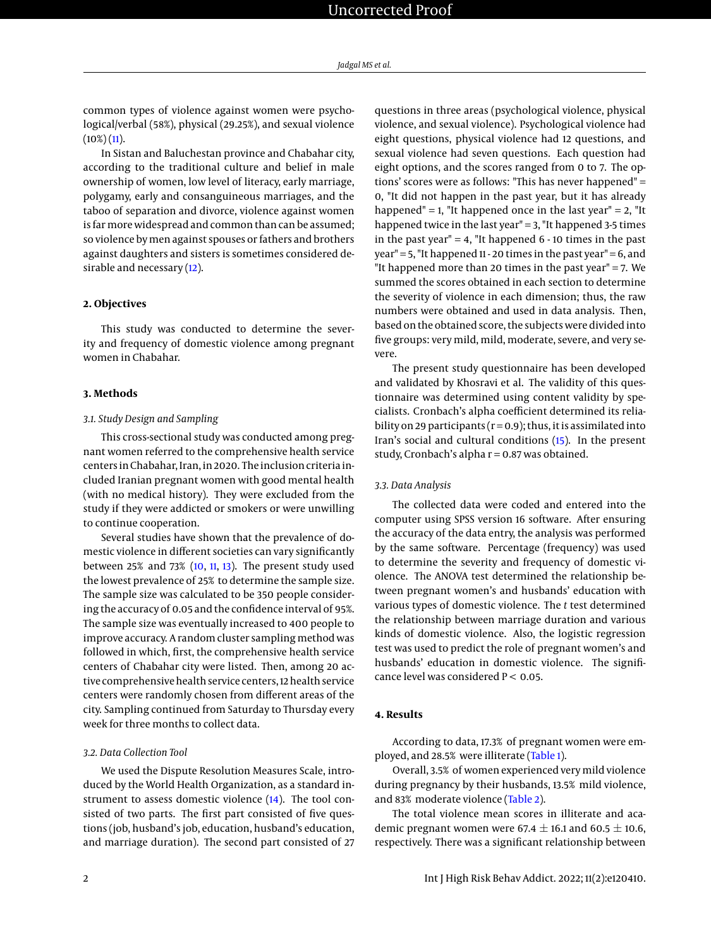common types of violence against women were psychological/verbal (58%), physical (29.25%), and sexual violence  $(10\%)$   $(11)$ .

In Sistan and Baluchestan province and Chabahar city, according to the traditional culture and belief in male ownership of women, low level of literacy, early marriage, polygamy, early and consanguineous marriages, and the taboo of separation and divorce, violence against women is far more widespread and common than can be assumed; so violence by men against spouses or fathers and brothers against daughters and sisters is sometimes considered de-sirable and necessary [\(12\)](#page-5-11).

#### **2. Objectives**

This study was conducted to determine the severity and frequency of domestic violence among pregnant women in Chabahar.

#### **3. Methods**

### *3.1. Study Design and Sampling*

This cross-sectional study was conducted among pregnant women referred to the comprehensive health service centers in Chabahar, Iran, in 2020. The inclusion criteria included Iranian pregnant women with good mental health (with no medical history). They were excluded from the study if they were addicted or smokers or were unwilling to continue cooperation.

Several studies have shown that the prevalence of domestic violence in different societies can vary significantly between 25% and 73%  $(10, 11, 13)$  $(10, 11, 13)$  $(10, 11, 13)$  $(10, 11, 13)$  $(10, 11, 13)$ . The present study used the lowest prevalence of 25% to determine the sample size. The sample size was calculated to be 350 people considering the accuracy of 0.05 and the confidence interval of 95%. The sample size was eventually increased to 400 people to improve accuracy. A random cluster sampling method was followed in which, first, the comprehensive health service centers of Chabahar city were listed. Then, among 20 active comprehensive health service centers, 12 health service centers were randomly chosen from different areas of the city. Sampling continued from Saturday to Thursday every week for three months to collect data.

#### *3.2. Data Collection Tool*

We used the Dispute Resolution Measures Scale, introduced by the World Health Organization, as a standard instrument to assess domestic violence [\(14\)](#page-5-13). The tool consisted of two parts. The first part consisted of five questions (job, husband's job, education, husband's education, and marriage duration). The second part consisted of 27

questions in three areas (psychological violence, physical violence, and sexual violence). Psychological violence had eight questions, physical violence had 12 questions, and sexual violence had seven questions. Each question had eight options, and the scores ranged from 0 to 7. The options' scores were as follows: "This has never happened" = 0, "It did not happen in the past year, but it has already happened" = 1, "It happened once in the last year" = 2, "It happened twice in the last year" = 3, "It happened 3-5 times in the past year" =  $4$ , "It happened  $6 - 10$  times in the past year" = 5, "It happened 11 - 20 times in the past year" = 6, and "It happened more than 20 times in the past year" = 7. We summed the scores obtained in each section to determine the severity of violence in each dimension; thus, the raw numbers were obtained and used in data analysis. Then, based on the obtained score, the subjects were divided into five groups: very mild, mild, moderate, severe, and very severe.

The present study questionnaire has been developed and validated by Khosravi et al. The validity of this questionnaire was determined using content validity by specialists. Cronbach's alpha coefficient determined its reliability on 29 participants ( $r = 0.9$ ); thus, it is assimilated into Iran's social and cultural conditions [\(15\)](#page-5-14). In the present study, Cronbach's alpha  $r = 0.87$  was obtained.

#### *3.3. Data Analysis*

The collected data were coded and entered into the computer using SPSS version 16 software. After ensuring the accuracy of the data entry, the analysis was performed by the same software. Percentage (frequency) was used to determine the severity and frequency of domestic violence. The ANOVA test determined the relationship between pregnant women's and husbands' education with various types of domestic violence. The *t* test determined the relationship between marriage duration and various kinds of domestic violence. Also, the logistic regression test was used to predict the role of pregnant women's and husbands' education in domestic violence. The significance level was considered  $P < 0.05$ .

# **4. Results**

According to data, 17.3% of pregnant women were employed, and 28.5% were illiterate [\(Table 1\)](#page-2-0).

Overall, 3.5% of women experienced very mild violence during pregnancy by their husbands, 13.5% mild violence, and 83% moderate violence [\(Table 2\)](#page-3-0).

The total violence mean scores in illiterate and academic pregnant women were 67.4  $\pm$  16.1 and 60.5  $\pm$  10.6, respectively. There was a significant relationship between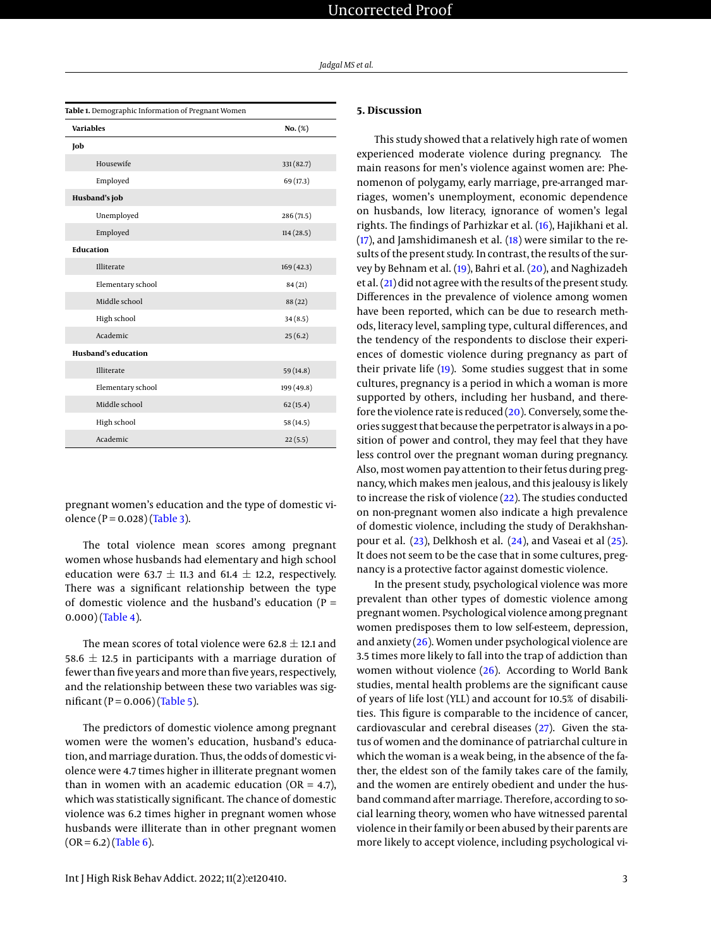| Jadgal MS et al. |
|------------------|
|------------------|

<span id="page-2-0"></span>

| Table 1. Demographic Information of Pregnant Women |            |  |  |
|----------------------------------------------------|------------|--|--|
| <b>Variables</b>                                   | $No. (\%)$ |  |  |
| Job                                                |            |  |  |
| Housewife                                          | 331 (82.7) |  |  |
| Employed                                           | 69 (17.3)  |  |  |
| Husband's job                                      |            |  |  |
| Unemployed                                         | 286 (71.5) |  |  |
| Employed                                           | 114(28.5)  |  |  |
| Education                                          |            |  |  |
| Illiterate                                         | 169(42.3)  |  |  |
| Elementary school                                  | 84 (21)    |  |  |
| Middle school                                      | 88(22)     |  |  |
| High school                                        | 34(8.5)    |  |  |
| Academic                                           | 25(6.2)    |  |  |
| <b>Husband's education</b>                         |            |  |  |
| Illiterate                                         | 59 (14.8)  |  |  |
| Elementary school                                  | 199 (49.8) |  |  |
| Middle school                                      | 62(15.4)   |  |  |
| High school                                        | 58 (14.5)  |  |  |
| Academic                                           | 22(5.5)    |  |  |

pregnant women's education and the type of domestic violence ( $P = 0.028$ ) [\(Table 3\)](#page-3-1).

The total violence mean scores among pregnant women whose husbands had elementary and high school education were 63.7  $\pm$  11.3 and 61.4  $\pm$  12.2, respectively. There was a significant relationship between the type of domestic violence and the husband's education ( $P =$ 0.000) [\(Table 4\)](#page-3-2).

The mean scores of total violence were 62.8  $\pm$  12.1 and 58.6  $\pm$  12.5 in participants with a marriage duration of fewer than five years and more than five years, respectively, and the relationship between these two variables was significant ( $P = 0.006$ ) [\(Table 5\)](#page-3-3).

The predictors of domestic violence among pregnant women were the women's education, husband's education, and marriage duration. Thus, the odds of domestic violence were 4.7 times higher in illiterate pregnant women than in women with an academic education ( $OR = 4.7$ ), which was statistically significant. The chance of domestic violence was 6.2 times higher in pregnant women whose husbands were illiterate than in other pregnant women  $(OR = 6.2)$  [\(Table 6\)](#page-4-0).

# **5. Discussion**

This study showed that a relatively high rate of women experienced moderate violence during pregnancy. The main reasons for men's violence against women are: Phenomenon of polygamy, early marriage, pre-arranged marriages, women's unemployment, economic dependence on husbands, low literacy, ignorance of women's legal rights. The findings of Parhizkar et al. [\(16\)](#page-5-15), Hajikhani et al.  $(17)$ , and Jamshidimanesh et al.  $(18)$  were similar to the results of the present study. In contrast, the results of the survey by Behnam et al. [\(19\)](#page-5-18), Bahri et al. [\(20\)](#page-5-19), and Naghizadeh et al. [\(21\)](#page-5-20) did not agree with the results of the present study. Differences in the prevalence of violence among women have been reported, which can be due to research methods, literacy level, sampling type, cultural differences, and the tendency of the respondents to disclose their experiences of domestic violence during pregnancy as part of their private life [\(19\)](#page-5-18). Some studies suggest that in some cultures, pregnancy is a period in which a woman is more supported by others, including her husband, and therefore the violence rate is reduced  $(20)$ . Conversely, some theories suggest that because the perpetrator is always in a position of power and control, they may feel that they have less control over the pregnant woman during pregnancy. Also, most women pay attention to their fetus during pregnancy, which makes men jealous, and this jealousy is likely to increase the risk of violence [\(22\)](#page-5-21). The studies conducted on non-pregnant women also indicate a high prevalence of domestic violence, including the study of Derakhshanpour et al. [\(23\)](#page-6-0), Delkhosh et al. [\(24\)](#page-6-1), and Vaseai et al [\(25\)](#page-6-2). It does not seem to be the case that in some cultures, pregnancy is a protective factor against domestic violence.

In the present study, psychological violence was more prevalent than other types of domestic violence among pregnant women. Psychological violence among pregnant women predisposes them to low self-esteem, depression, and anxiety [\(26\)](#page-6-3). Women under psychological violence are 3.5 times more likely to fall into the trap of addiction than women without violence [\(26\)](#page-6-3). According to World Bank studies, mental health problems are the significant cause of years of life lost (YLL) and account for 10.5% of disabilities. This figure is comparable to the incidence of cancer, cardiovascular and cerebral diseases [\(27\)](#page-6-4). Given the status of women and the dominance of patriarchal culture in which the woman is a weak being, in the absence of the father, the eldest son of the family takes care of the family, and the women are entirely obedient and under the husband command after marriage. Therefore, according to social learning theory, women who have witnessed parental violence in their family or been abused by their parents are more likely to accept violence, including psychological vi-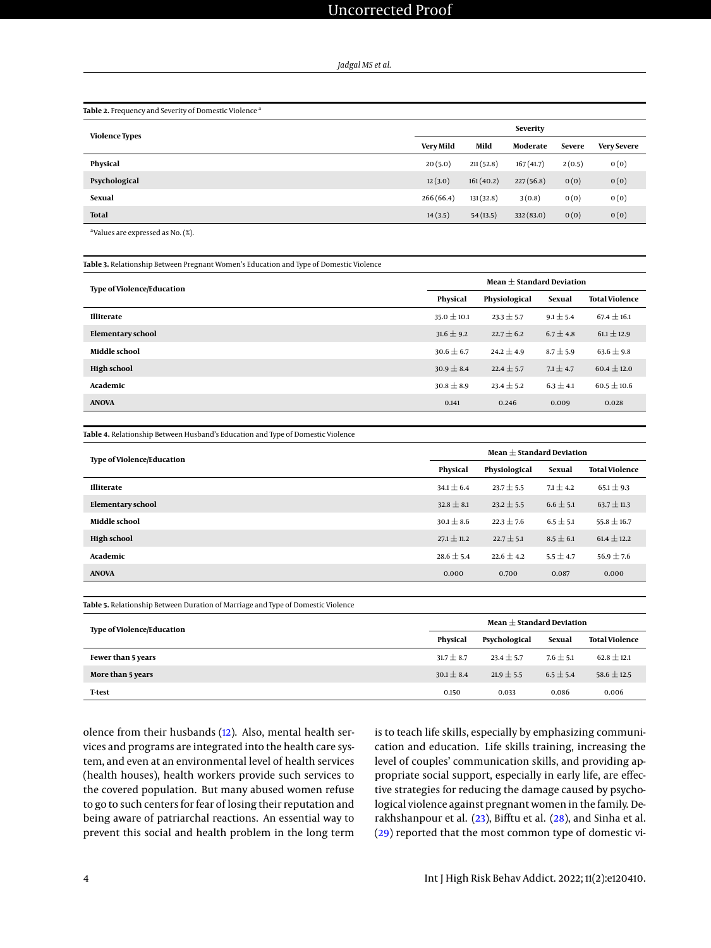*Jadgal MS et al.*

<span id="page-3-0"></span>

| Table 2. Frequency and Severity of Domestic Violence <sup>a</sup> |                  |           |           |               |                    |  |
|-------------------------------------------------------------------|------------------|-----------|-----------|---------------|--------------------|--|
| <b>Violence Types</b>                                             |                  | Severity  |           |               |                    |  |
|                                                                   | <b>Very Mild</b> | Mild      | Moderate  | <b>Severe</b> | <b>Very Severe</b> |  |
| Physical                                                          | 20(5.0)          | 211(52.8) | 167(41.7) | 2(0.5)        | 0(0)               |  |
| Psychological                                                     | 12(3.0)          | 161(40.2) | 227(56.8) | 0(0)          | 0(0)               |  |
| Sexual                                                            | 266(66.4)        | 131(32.8) | 3(0.8)    | 0(0)          | 0(0)               |  |
| <b>Total</b>                                                      | 14(3.5)          | 54(13.5)  | 332(83.0) | 0(0)          | 0(0)               |  |
| $2 - 1$                                                           |                  |           |           |               |                    |  |

a Values are expressed as No. (%).

<span id="page-3-1"></span>

| Table 3. Relationship Between Pregnant Women's Education and Type of Domestic Violence |                 |                               |               |                       |  |
|----------------------------------------------------------------------------------------|-----------------|-------------------------------|---------------|-----------------------|--|
| <b>Type of Violence/Education</b>                                                      |                 | Mean $\pm$ Standard Deviation |               |                       |  |
|                                                                                        | Physical        | Physiological                 | Sexual        | <b>Total Violence</b> |  |
| <b>Illiterate</b>                                                                      | $35.0 \pm 10.1$ | $23.3 \pm 5.7$                | $9.1 \pm 5.4$ | $67.4 \pm 16.1$       |  |
| Elementary school                                                                      | $31.6 \pm 9.2$  | $22.7 \pm 6.2$                | $6.7 \pm 4.8$ | $61.1 \pm 12.9$       |  |
| Middle school                                                                          | $30.6 \pm 6.7$  | $24.2 \pm 4.9$                | $8.7 \pm 5.9$ | $63.6 \pm 9.8$        |  |
| <b>High school</b>                                                                     | $30.9 \pm 8.4$  | $22.4 \pm 5.7$                | $7.1 \pm 4.7$ | $60.4 \pm 12.0$       |  |
| Academic                                                                               | $30.8 \pm 8.9$  | $23.4 \pm 5.2$                | $6.3 \pm 4.1$ | $60.5 \pm 10.6$       |  |
| <b>ANOVA</b>                                                                           | 0.141           | 0.246                         | 0.009         | 0.028                 |  |

<span id="page-3-2"></span>**Table 4.** Relationship Between Husband's Education and Type of Domestic Violence

| <b>Type of Violence/Education</b> | Mean $+$ Standard Deviation |                |               |                       |
|-----------------------------------|-----------------------------|----------------|---------------|-----------------------|
|                                   | Physical                    | Physiological  | Sexual        | <b>Total Violence</b> |
| <b>Illiterate</b>                 | $34.1 \pm 6.4$              | $23.7 \pm 5.5$ | $7.1 \pm 4.2$ | $65.1 \pm 9.3$        |
| Elementary school                 | $32.8 \pm 8.1$              | $23.2 \pm 5.5$ | $6.6 \pm 5.1$ | $63.7 \pm 11.3$       |
| Middle school                     | $30.1 \pm 8.6$              | $22.3 \pm 7.6$ | $6.5 \pm 5.1$ | $55.8 \pm 16.7$       |
| <b>High school</b>                | $27.1 \pm 11.2$             | $22.7 \pm 5.1$ | $8.5 \pm 6.1$ | $61.4 \pm 12.2$       |
| Academic                          | $28.6 \pm 5.4$              | $22.6 \pm 4.2$ | $5.5 \pm 4.7$ | $56.9 \pm 7.6$        |
| <b>ANOVA</b>                      | 0.000                       | 0.700          | 0.087         | 0.000                 |

<span id="page-3-3"></span>**Table 5.** Relationship Between Duration of Marriage and Type of Domestic Violence

| <b>Type of Violence/Education</b> | Mean $\pm$ Standard Deviation |                |               |                       |  |
|-----------------------------------|-------------------------------|----------------|---------------|-----------------------|--|
|                                   | Physical                      | Psychological  | Sexual        | <b>Total Violence</b> |  |
| Fewer than 5 years                | $31.7 \pm 8.7$                | $23.4 \pm 5.7$ | $7.6 \pm 5.1$ | $62.8 \pm 12.1$       |  |
| More than 5 years                 | $30.1 \pm 8.4$                | $21.9 \pm 5.5$ | $6.5 \pm 5.4$ | $58.6 \pm 12.5$       |  |
| <b>T-test</b>                     | 0.150                         | 0.033          | 0.086         | 0.006                 |  |

olence from their husbands [\(12\)](#page-5-11). Also, mental health services and programs are integrated into the health care system, and even at an environmental level of health services (health houses), health workers provide such services to the covered population. But many abused women refuse to go to such centers for fear of losing their reputation and being aware of patriarchal reactions. An essential way to prevent this social and health problem in the long term

is to teach life skills, especially by emphasizing communication and education. Life skills training, increasing the level of couples' communication skills, and providing appropriate social support, especially in early life, are effective strategies for reducing the damage caused by psychological violence against pregnant women in the family. Derakhshanpour et al. [\(23\)](#page-6-0), Bifftu et al. [\(28\)](#page-6-5), and Sinha et al. [\(29\)](#page-6-6) reported that the most common type of domestic vi-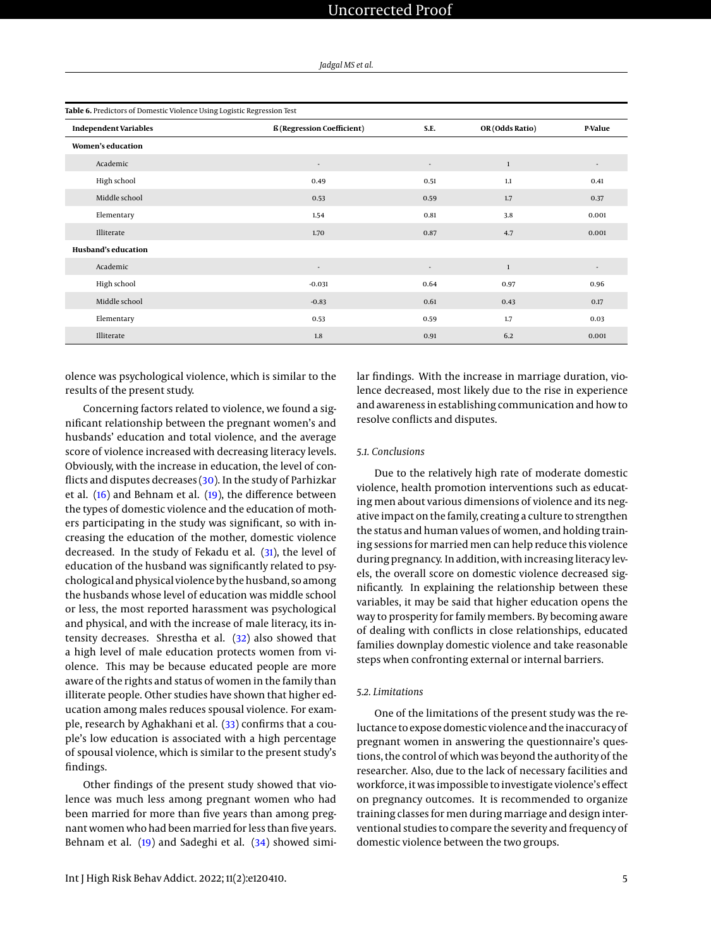<span id="page-4-0"></span>

| Table 6. Predictors of Domestic Violence Using Logistic Regression Test |                                   |                          |                 |                          |
|-------------------------------------------------------------------------|-----------------------------------|--------------------------|-----------------|--------------------------|
| <b>Independent Variables</b>                                            | <b>ß</b> (Regression Coefficient) | S.E.                     | OR (Odds Ratio) | P-Value                  |
| Women's education                                                       |                                   |                          |                 |                          |
| Academic                                                                | $\overline{\phantom{a}}$          | $\overline{\phantom{a}}$ | $\mathbf{1}$    | $\overline{\phantom{a}}$ |
| High school                                                             | 0.49                              | 0.51                     | 1.1             | 0.41                     |
| Middle school                                                           | 0.53                              | 0.59                     | 1.7             | 0.37                     |
| Elementary                                                              | 1.54                              | 0.81                     | 3.8             | 0.001                    |
| Illiterate                                                              | 1.70                              | 0.87                     | 4.7             | 0.001                    |
| <b>Husband's education</b>                                              |                                   |                          |                 |                          |
| Academic                                                                | ٠                                 | $\overline{\phantom{a}}$ | $\mathbf{1}$    | $\overline{a}$           |
| High school                                                             | $-0.031$                          | 0.64                     | 0.97            | 0.96                     |
| Middle school                                                           | $-0.83$                           | 0.61                     | 0.43            | 0.17                     |
| Elementary                                                              | 0.53                              | 0.59                     | 1.7             | 0.03                     |
| Illiterate                                                              | 1.8                               | 0.91                     | 6.2             | 0.001                    |

olence was psychological violence, which is similar to the results of the present study.

Concerning factors related to violence, we found a significant relationship between the pregnant women's and husbands' education and total violence, and the average score of violence increased with decreasing literacy levels. Obviously, with the increase in education, the level of conflicts and disputes decreases [\(30\)](#page-6-7). In the study of Parhizkar et al. [\(16\)](#page-5-15) and Behnam et al. [\(19\)](#page-5-18), the difference between the types of domestic violence and the education of mothers participating in the study was significant, so with increasing the education of the mother, domestic violence decreased. In the study of Fekadu et al. [\(31\)](#page-6-8), the level of education of the husband was significantly related to psychological and physical violence by the husband, so among the husbands whose level of education was middle school or less, the most reported harassment was psychological and physical, and with the increase of male literacy, its intensity decreases. Shrestha et al. [\(32\)](#page-6-9) also showed that a high level of male education protects women from violence. This may be because educated people are more aware of the rights and status of women in the family than illiterate people. Other studies have shown that higher education among males reduces spousal violence. For exam-ple, research by Aghakhani et al. [\(33\)](#page-6-10) confirms that a couple's low education is associated with a high percentage of spousal violence, which is similar to the present study's findings.

Other findings of the present study showed that violence was much less among pregnant women who had been married for more than five years than among pregnant women who had been married for less than five years. Behnam et al. [\(19\)](#page-5-18) and Sadeghi et al. [\(34\)](#page-6-11) showed similar findings. With the increase in marriage duration, violence decreased, most likely due to the rise in experience and awareness in establishing communication and how to resolve conflicts and disputes.

# *5.1. Conclusions*

Due to the relatively high rate of moderate domestic violence, health promotion interventions such as educating men about various dimensions of violence and its negative impact on the family, creating a culture to strengthen the status and human values of women, and holding training sessions for married men can help reduce this violence during pregnancy. In addition, with increasing literacy levels, the overall score on domestic violence decreased significantly. In explaining the relationship between these variables, it may be said that higher education opens the way to prosperity for family members. By becoming aware of dealing with conflicts in close relationships, educated families downplay domestic violence and take reasonable steps when confronting external or internal barriers.

## *5.2. Limitations*

One of the limitations of the present study was the reluctance to expose domestic violence and the inaccuracy of pregnant women in answering the questionnaire's questions, the control of which was beyond the authority of the researcher. Also, due to the lack of necessary facilities and workforce, it was impossible to investigate violence's effect on pregnancy outcomes. It is recommended to organize training classes for men during marriage and design interventional studies to compare the severity and frequency of domestic violence between the two groups.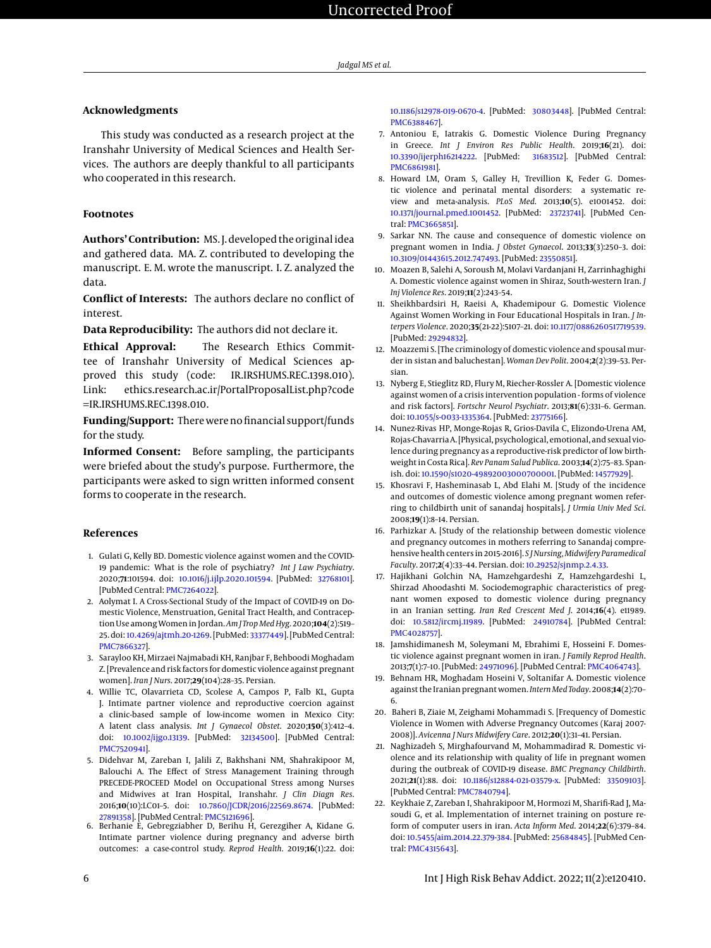# **Acknowledgments**

This study was conducted as a research project at the Iranshahr University of Medical Sciences and Health Services. The authors are deeply thankful to all participants who cooperated in this research.

#### **Footnotes**

**Authors' Contribution:** MS. J. developed the original idea and gathered data. MA. Z. contributed to developing the manuscript. E. M. wrote the manuscript. I. Z. analyzed the data.

**Conflict of Interests:** The authors declare no conflict of interest.

**Data Reproducibility:** The authors did not declare it.

**Ethical Approval:** The Research Ethics Committee of Iranshahr University of Medical Sciences approved this study (code: IR.IRSHUMS.REC.1398.010). Link: ethics.research.ac.ir/PortalProposalList.php?code =IR.IRSHUMS.REC.1398.010.

**Funding/Support:** There were no financial support/funds for the study.

**Informed Consent:** Before sampling, the participants were briefed about the study's purpose. Furthermore, the participants were asked to sign written informed consent forms to cooperate in the research.

### **References**

- <span id="page-5-0"></span>1. Gulati G, Kelly BD. Domestic violence against women and the COVID-19 pandemic: What is the role of psychiatry? *Int J Law Psychiatry*. 2020;**71**:101594. doi: [10.1016/j.ijlp.2020.101594.](http://dx.doi.org/10.1016/j.ijlp.2020.101594) [PubMed: [32768101\]](http://www.ncbi.nlm.nih.gov/pubmed/32768101). [PubMed Central: [PMC7264022\]](https://www.ncbi.nlm.nih.gov/pmc/articles/PMC7264022).
- <span id="page-5-1"></span>2. Aolymat I. A Cross-Sectional Study of the Impact of COVID-19 on Domestic Violence, Menstruation, Genital Tract Health, and Contraception Use amongWomen in Jordan. *Am J Trop Med Hyg*. 2020;**104**(2):519– 25. doi: [10.4269/ajtmh.20-1269.](http://dx.doi.org/10.4269/ajtmh.20-1269) [PubMed: [33377449\]](http://www.ncbi.nlm.nih.gov/pubmed/33377449). [PubMed Central: [PMC7866327\]](https://www.ncbi.nlm.nih.gov/pmc/articles/PMC7866327).
- <span id="page-5-2"></span>3. Sarayloo KH, Mirzaei Najmabadi KH, Ranjbar F, Behboodi Moghadam Z. [Prevalence and risk factors for domestic violence against pregnant women]. *Iran J Nurs*. 2017;**29**(104):28–35. Persian.
- <span id="page-5-3"></span>4. Willie TC, Olavarrieta CD, Scolese A, Campos P, Falb KL, Gupta J. Intimate partner violence and reproductive coercion against a clinic-based sample of low-income women in Mexico City: A latent class analysis. *Int J Gynaecol Obstet*. 2020;**150**(3):412–4. doi: [10.1002/ijgo.13139.](http://dx.doi.org/10.1002/ijgo.13139) [PubMed: [32134500\]](http://www.ncbi.nlm.nih.gov/pubmed/32134500). [PubMed Central: [PMC7520941\]](https://www.ncbi.nlm.nih.gov/pmc/articles/PMC7520941).
- <span id="page-5-4"></span>5. Didehvar M, Zareban I, Jalili Z, Bakhshani NM, Shahrakipoor M, Balouchi A. The Effect of Stress Management Training through PRECEDE-PROCEED Model on Occupational Stress among Nurses and Midwives at Iran Hospital, Iranshahr. *J Clin Diagn Res*. 2016;**10**(10):LC01–5. doi: [10.7860/JCDR/2016/22569.8674.](http://dx.doi.org/10.7860/JCDR/2016/22569.8674) [PubMed: [27891358\]](http://www.ncbi.nlm.nih.gov/pubmed/27891358). [PubMed Central: [PMC5121696\]](https://www.ncbi.nlm.nih.gov/pmc/articles/PMC5121696).
- <span id="page-5-5"></span>6. Berhanie E, Gebregziabher D, Berihu H, Gerezgiher A, Kidane G. Intimate partner violence during pregnancy and adverse birth outcomes: a case-control study. *Reprod Health*. 2019;**16**(1):22. doi:

[10.1186/s12978-019-0670-4.](http://dx.doi.org/10.1186/s12978-019-0670-4) [PubMed: [30803448\]](http://www.ncbi.nlm.nih.gov/pubmed/30803448). [PubMed Central: [PMC6388467\]](https://www.ncbi.nlm.nih.gov/pmc/articles/PMC6388467).

- <span id="page-5-6"></span>7. Antoniou E, Iatrakis G. Domestic Violence During Pregnancy in Greece. *Int J Environ Res Public Health*. 2019;**16**(21). doi: [10.3390/ijerph16214222.](http://dx.doi.org/10.3390/ijerph16214222) [PubMed: [31683512\]](http://www.ncbi.nlm.nih.gov/pubmed/31683512). [PubMed Central: [PMC6861981\]](https://www.ncbi.nlm.nih.gov/pmc/articles/PMC6861981).
- <span id="page-5-7"></span>8. Howard LM, Oram S, Galley H, Trevillion K, Feder G. Domestic violence and perinatal mental disorders: a systematic review and meta-analysis. *PLoS Med*. 2013;**10**(5). e1001452. doi: [10.1371/journal.pmed.1001452.](http://dx.doi.org/10.1371/journal.pmed.1001452) [PubMed: [23723741\]](http://www.ncbi.nlm.nih.gov/pubmed/23723741). [PubMed Central: [PMC3665851\]](https://www.ncbi.nlm.nih.gov/pmc/articles/PMC3665851).
- <span id="page-5-8"></span>9. Sarkar NN. The cause and consequence of domestic violence on pregnant women in India. *J Obstet Gynaecol*. 2013;**33**(3):250–3. doi: [10.3109/01443615.2012.747493.](http://dx.doi.org/10.3109/01443615.2012.747493) [PubMed: [23550851\]](http://www.ncbi.nlm.nih.gov/pubmed/23550851).
- <span id="page-5-9"></span>10. Moazen B, Salehi A, Soroush M, Molavi Vardanjani H, Zarrinhaghighi A. Domestic violence against women in Shiraz, South-western Iran. *J Inj Violence Res*. 2019;**11**(2):243–54.
- <span id="page-5-10"></span>11. Sheikhbardsiri H, Raeisi A, Khademipour G. Domestic Violence Against Women Working in Four Educational Hospitals in Iran. *J Interpers Violence*. 2020;**35**(21-22):5107–21. doi: [10.1177/0886260517719539.](http://dx.doi.org/10.1177/0886260517719539) [PubMed: [29294832\]](http://www.ncbi.nlm.nih.gov/pubmed/29294832).
- <span id="page-5-11"></span>12. Moazzemi S. [The criminology of domestic violence and spousal murder in sistan and baluchestan]. *Woman Dev Polit*. 2004;**2**(2):39–53. Persian.
- <span id="page-5-12"></span>13. Nyberg E, Stieglitz RD, Flury M, Riecher-Rossler A. [Domestic violence against women of a crisis intervention population - forms of violence and risk factors]. *Fortschr Neurol Psychiatr*. 2013;**81**(6):331–6. German. doi: [10.1055/s-0033-1335364.](http://dx.doi.org/10.1055/s-0033-1335364) [PubMed: [23775166\]](http://www.ncbi.nlm.nih.gov/pubmed/23775166).
- <span id="page-5-13"></span>14. Nunez-Rivas HP, Monge-Rojas R, Grios-Davila C, Elizondo-Urena AM, Rojas-Chavarria A. [Physical, psychological, emotional, and sexual violence during pregnancy as a reproductive-risk predictor of low birthweight in Costa Rica]. *Rev Panam Salud Publica*. 2003;**14**(2):75–83. Spanish. doi: [10.1590/s1020-49892003000700001.](http://dx.doi.org/10.1590/s1020-49892003000700001) [PubMed: [14577929\]](http://www.ncbi.nlm.nih.gov/pubmed/14577929).
- <span id="page-5-14"></span>15. Khosravi F, Hasheminasab L, Abd Elahi M. [Study of the incidence and outcomes of domestic violence among pregnant women referring to childbirth unit of sanandaj hospitals]. *J Urmia Univ Med Sci*. 2008;**19**(1):8–14. Persian.
- <span id="page-5-15"></span>16. Parhizkar A. [Study of the relationship between domestic violence and pregnancy outcomes in mothers referring to Sanandaj comprehensive health centers in 2015-2016]. *S J Nursing, Midwifery Paramedical Faculty*. 2017;**2**(4):33–44. Persian. doi: [10.29252/sjnmp.2.4.33.](http://dx.doi.org/10.29252/sjnmp.2.4.33)
- <span id="page-5-16"></span>17. Hajikhani Golchin NA, Hamzehgardeshi Z, Hamzehgardeshi L, Shirzad Ahoodashti M. Sociodemographic characteristics of pregnant women exposed to domestic violence during pregnancy in an Iranian setting. *Iran Red Crescent Med J*. 2014;**16**(4). e11989. doi: [10.5812/ircmj.11989.](http://dx.doi.org/10.5812/ircmj.11989) [PubMed: [24910784\]](http://www.ncbi.nlm.nih.gov/pubmed/24910784). [PubMed Central: [PMC4028757\]](https://www.ncbi.nlm.nih.gov/pmc/articles/PMC4028757).
- <span id="page-5-17"></span>18. Jamshidimanesh M, Soleymani M, Ebrahimi E, Hosseini F. Domestic violence against pregnant women in iran. *J Family Reprod Health*. 2013;**7**(1):7–10. [PubMed: [24971096\]](http://www.ncbi.nlm.nih.gov/pubmed/24971096). [PubMed Central: [PMC4064743\]](https://www.ncbi.nlm.nih.gov/pmc/articles/PMC4064743).
- <span id="page-5-18"></span>19. Behnam HR, Moghadam Hoseini V, Soltanifar A. Domestic violence against the Iranian pregnant women. *Intern Med Today*. 2008;**14**(2):70– 6.
- <span id="page-5-19"></span>20. Baheri B, Ziaie M, Zeighami Mohammadi S. [Frequency of Domestic Violence in Women with Adverse Pregnancy Outcomes (Karaj 2007- 2008)]. *Avicenna J Nurs Midwifery Care*. 2012;**20**(1):31–41. Persian.
- <span id="page-5-20"></span>21. Naghizadeh S, Mirghafourvand M, Mohammadirad R. Domestic violence and its relationship with quality of life in pregnant women during the outbreak of COVID-19 disease. *BMC Pregnancy Childbirth*. 2021;**21**(1):88. doi: [10.1186/s12884-021-03579-x.](http://dx.doi.org/10.1186/s12884-021-03579-x) [PubMed: [33509103\]](http://www.ncbi.nlm.nih.gov/pubmed/33509103). [PubMed Central: [PMC7840794\]](https://www.ncbi.nlm.nih.gov/pmc/articles/PMC7840794).
- <span id="page-5-21"></span>22. Keykhaie Z, Zareban I, Shahrakipoor M, Hormozi M, Sharifi-Rad J, Masoudi G, et al. Implementation of internet training on posture reform of computer users in iran. *Acta Inform Med*. 2014;**22**(6):379–84. doi: [10.5455/aim.2014.22.379-384.](http://dx.doi.org/10.5455/aim.2014.22.379-384) [PubMed: [25684845\]](http://www.ncbi.nlm.nih.gov/pubmed/25684845). [PubMed Central: [PMC4315643\]](https://www.ncbi.nlm.nih.gov/pmc/articles/PMC4315643).